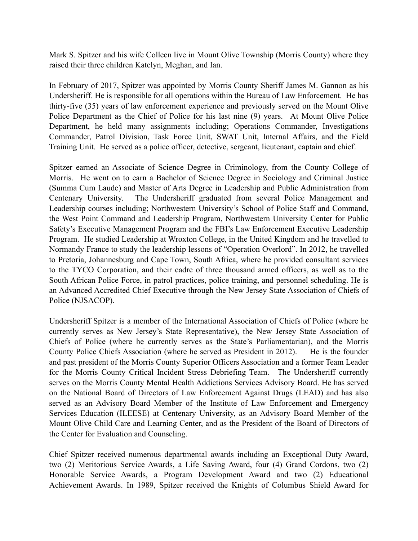Mark S. Spitzer and his wife Colleen live in Mount Olive Township (Morris County) where they raised their three children Katelyn, Meghan, and Ian.

In February of 2017, Spitzer was appointed by Morris County Sheriff James M. Gannon as his Undersheriff. He is responsible for all operations within the Bureau of Law Enforcement. He has thirty-five (35) years of law enforcement experience and previously served on the Mount Olive Police Department as the Chief of Police for his last nine (9) years. At Mount Olive Police Department, he held many assignments including; Operations Commander, Investigations Commander, Patrol Division, Task Force Unit, SWAT Unit, Internal Affairs, and the Field Training Unit. He served as a police officer, detective, sergeant, lieutenant, captain and chief.

Spitzer earned an Associate of Science Degree in Criminology, from the County College of Morris. He went on to earn a Bachelor of Science Degree in Sociology and Criminal Justice (Summa Cum Laude) and Master of Arts Degree in Leadership and Public Administration from Centenary University. The Undersheriff graduated from several Police Management and Leadership courses including; Northwestern University's School of Police Staff and Command, the West Point Command and Leadership Program, Northwestern University Center for Public Safety's Executive Management Program and the FBI's Law Enforcement Executive Leadership Program. He studied Leadership at Wroxton College, in the United Kingdom and he travelled to Normandy France to study the leadership lessons of "Operation Overlord". In 2012, he travelled to Pretoria, Johannesburg and Cape Town, South Africa, where he provided consultant services to the TYCO Corporation, and their cadre of three thousand armed officers, as well as to the South African Police Force, in patrol practices, police training, and personnel scheduling. He is an Advanced Accredited Chief Executive through the New Jersey State Association of Chiefs of Police (NJSACOP).

Undersheriff Spitzer is a member of the International Association of Chiefs of Police (where he currently serves as New Jersey's State Representative), the New Jersey State Association of Chiefs of Police (where he currently serves as the State's Parliamentarian), and the Morris County Police Chiefs Association (where he served as President in 2012). He is the founder and past president of the Morris County Superior Officers Association and a former Team Leader for the Morris County Critical Incident Stress Debriefing Team. The Undersheriff currently serves on the Morris County Mental Health Addictions Services Advisory Board. He has served on the National Board of Directors of Law Enforcement Against Drugs (LEAD) and has also served as an Advisory Board Member of the Institute of Law Enforcement and Emergency Services Education (ILEESE) at Centenary University, as an Advisory Board Member of the Mount Olive Child Care and Learning Center, and as the President of the Board of Directors of the Center for Evaluation and Counseling.

Chief Spitzer received numerous departmental awards including an Exceptional Duty Award, two (2) Meritorious Service Awards, a Life Saving Award, four (4) Grand Cordons, two (2) Honorable Service Awards, a Program Development Award and two (2) Educational Achievement Awards. In 1989, Spitzer received the Knights of Columbus Shield Award for